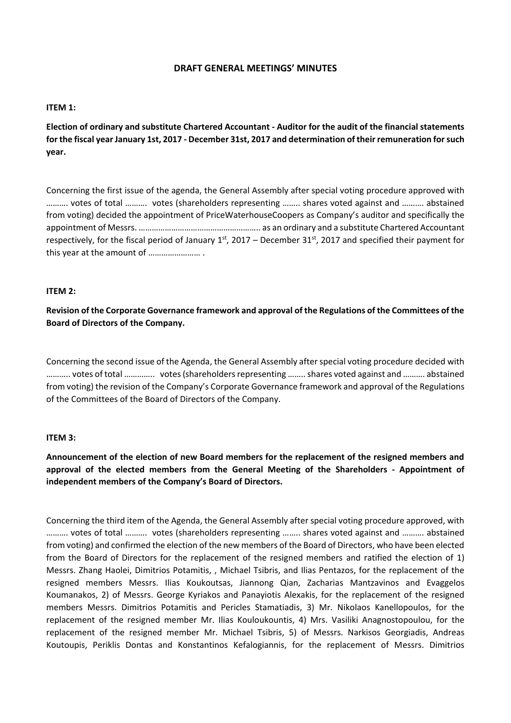# **DRAFT GENERAL MEETINGS' MINUTES**

#### **ITEM 1:**

**Election of ordinary and substitute Chartered Accountant - Auditor for the audit of the financial statements for the fiscal year January 1st, 2017 - December 31st, 2017 and determination of their remuneration for such year.**

Concerning the first issue of the agenda, the General Assembly after special voting procedure approved with ………. votes of total ………. votes (shareholders representing …….. shares voted against and ………. abstained from voting) decided the appointment of PriceWaterhouseCoopers as Company's auditor and specifically the appointment of Messrs. ……………………………………………….. as an ordinary and a substitute Chartered Accountant respectively, for the fiscal period of January  $1^{st}$ , 2017 – December 31 $^{st}$ , 2017 and specified their payment for this year at the amount of …………………… .

#### **ITEM 2:**

**Revision of the Corporate Governance framework and approval of the Regulations of the Committees of the Board of Directors of the Company.**

Concerning the second issue of the Agenda, the General Assembly after special voting procedure decided with ……….. votes of total ………….. votes (shareholders representing …….. shares voted against and ………. abstained from voting) the revision of the Company's Corporate Governance framework and approval of the Regulations of the Committees of the Board of Directors of the Company.

## **ITEM 3:**

**Announcement of the election of new Board members for the replacement of the resigned members and approval of the elected members from the General Meeting of the Shareholders - Appointment of independent members of the Company's Board of Directors.**

Concerning the third item of the Agenda, the General Assembly after special voting procedure approved, with ………. votes of total ………. votes (shareholders representing …….. shares voted against and ………. abstained from voting) and confirmed the election of the new members of the Board of Directors, who have been elected from the Board of Directors for the replacement of the resigned members and ratified the election of 1) Messrs. Zhang Haolei, Dimitrios Potamitis, , Michael Tsibris, and Ilias Pentazos, for the replacement of the resigned members Messrs. Ilias Koukoutsas, Jiannong Qian, Zacharias Mantzavinos and Evaggelos Koumanakos, 2) of Messrs. George Kyriakos and Panayiotis Alexakis, for the replacement of the resigned members Messrs. Dimitrios Potamitis and Pericles Stamatiadis, 3) Mr. Nikolaos Kanellopoulos, for the replacement of the resigned member Mr. Ilias Kouloukountis, 4) Mrs. Vasiliki Anagnostopoulou, for the replacement of the resigned member Mr. Michael Tsibris, 5) of Messrs. Narkisos Georgiadis, Andreas Koutoupis, Periklis Dontas and Konstantinos Kefalogiannis, for the replacement of Messrs. Dimitrios